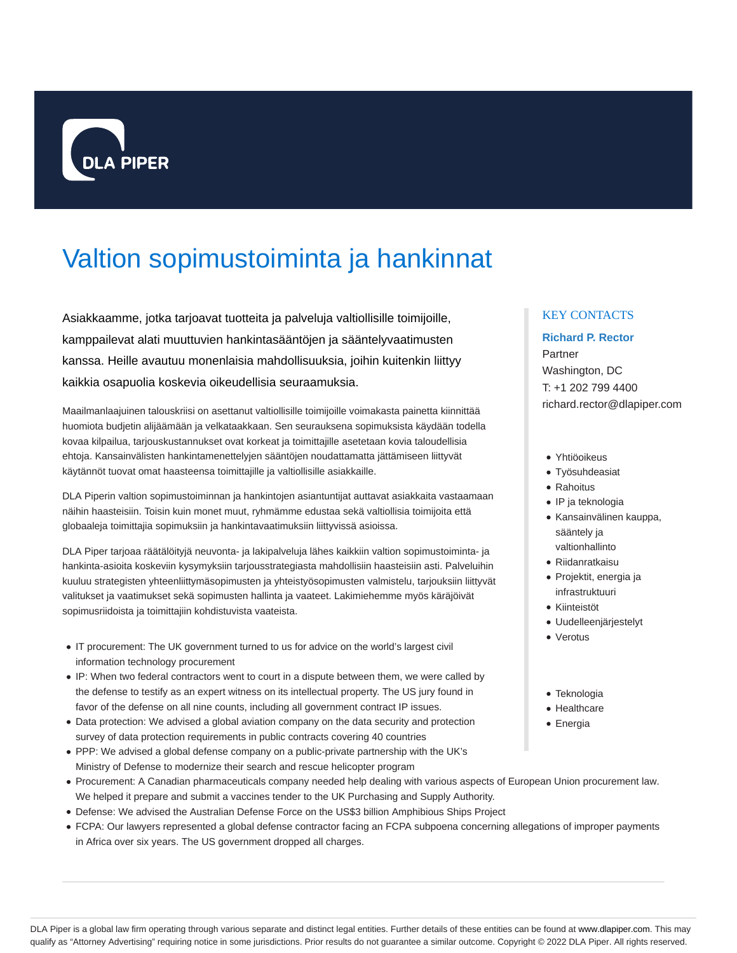

# Valtion sopimustoiminta ja hankinnat

Asiakkaamme, jotka tarjoavat tuotteita ja palveluja valtiollisille toimijoille, kamppailevat alati muuttuvien hankintasääntöjen ja sääntelyvaatimusten kanssa. Heille avautuu monenlaisia mahdollisuuksia, joihin kuitenkin liittyy kaikkia osapuolia koskevia oikeudellisia seuraamuksia.

Maailmanlaajuinen talouskriisi on asettanut valtiollisille toimijoille voimakasta painetta kiinnittää huomiota budjetin alijäämään ja velkataakkaan. Sen seurauksena sopimuksista käydään todella kovaa kilpailua, tarjouskustannukset ovat korkeat ja toimittajille asetetaan kovia taloudellisia ehtoja. Kansainvälisten hankintamenettelyjen sääntöjen noudattamatta jättämiseen liittyvät käytännöt tuovat omat haasteensa toimittajille ja valtiollisille asiakkaille.

DLA Piperin valtion sopimustoiminnan ja hankintojen asiantuntijat auttavat asiakkaita vastaamaan näihin haasteisiin. Toisin kuin monet muut, ryhmämme edustaa sekä valtiollisia toimijoita että globaaleja toimittajia sopimuksiin ja hankintavaatimuksiin liittyvissä asioissa.

DLA Piper tarjoaa räätälöityjä neuvonta- ja lakipalveluja lähes kaikkiin valtion sopimustoiminta- ja hankinta-asioita koskeviin kysymyksiin tarjousstrategiasta mahdollisiin haasteisiin asti. Palveluihin kuuluu strategisten yhteenliittymäsopimusten ja yhteistyösopimusten valmistelu, tarjouksiin liittyvät valitukset ja vaatimukset sekä sopimusten hallinta ja vaateet. Lakimiehemme myös käräjöivät sopimusriidoista ja toimittajiin kohdistuvista vaateista.

- IT procurement: The UK government turned to us for advice on the world's largest civil information technology procurement
- IP: When two federal contractors went to court in a dispute between them, we were called by the defense to testify as an expert witness on its intellectual property. The US jury found in favor of the defense on all nine counts, including all government contract IP issues.
- Data protection: We advised a global aviation company on the data security and protection survey of data protection requirements in public contracts covering 40 countries
- PPP: We advised a global defense company on a public-private partnership with the UK's Ministry of Defense to modernize their search and rescue helicopter program
- Procurement: A Canadian pharmaceuticals company needed help dealing with various aspects of European Union procurement law. We helped it prepare and submit a vaccines tender to the UK Purchasing and Supply Authority.
- Defense: We advised the Australian Defense Force on the US\$3 billion Amphibious Ships Project
- FCPA: Our lawyers represented a global defense contractor facing an FCPA subpoena concerning allegations of improper payments in Africa over six years. The US government dropped all charges.

## KEY CONTACTS

## **Richard P. Rector**

Partner Washington, DC T: +1 202 799 4400 richard.rector@dlapiper.com

- Yhtiöoikeus
- Työsuhdeasiat
- Rahoitus
- IP ja teknologia
- Kansainvälinen kauppa, sääntely ja valtionhallinto
- Riidanratkaisu
- Projektit, energia ja infrastruktuuri
- Kiinteistöt
- Uudelleenjärjestelyt
- Verotus
- Teknologia
- Healthcare
- Energia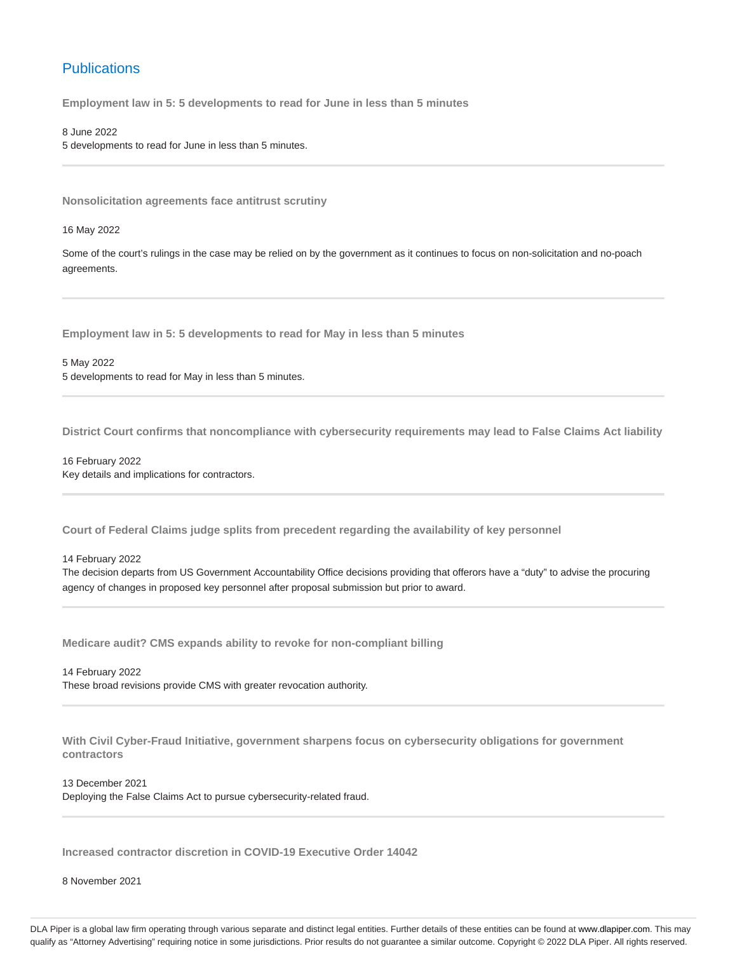# **Publications**

**Employment law in 5: 5 developments to read for June in less than 5 minutes**

8 June 2022 5 developments to read for June in less than 5 minutes.

**Nonsolicitation agreements face antitrust scrutiny**

16 May 2022

Some of the court's rulings in the case may be relied on by the government as it continues to focus on non-solicitation and no-poach agreements.

**Employment law in 5: 5 developments to read for May in less than 5 minutes**

5 May 2022 5 developments to read for May in less than 5 minutes.

**District Court confirms that noncompliance with cybersecurity requirements may lead to False Claims Act liability**

16 February 2022 Key details and implications for contractors.

**Court of Federal Claims judge splits from precedent regarding the availability of key personnel**

14 February 2022

The decision departs from US Government Accountability Office decisions providing that offerors have a "duty" to advise the procuring agency of changes in proposed key personnel after proposal submission but prior to award.

**Medicare audit? CMS expands ability to revoke for non-compliant billing**

14 February 2022 These broad revisions provide CMS with greater revocation authority.

**With Civil Cyber-Fraud Initiative, government sharpens focus on cybersecurity obligations for government contractors**

13 December 2021

Deploying the False Claims Act to pursue cybersecurity-related fraud.

**Increased contractor discretion in COVID-19 Executive Order 14042**

8 November 2021

DLA Piper is a global law firm operating through various separate and distinct legal entities. Further details of these entities can be found at www.dlapiper.com. This may qualify as "Attorney Advertising" requiring notice in some jurisdictions. Prior results do not guarantee a similar outcome. Copyright © 2022 DLA Piper. All rights reserved.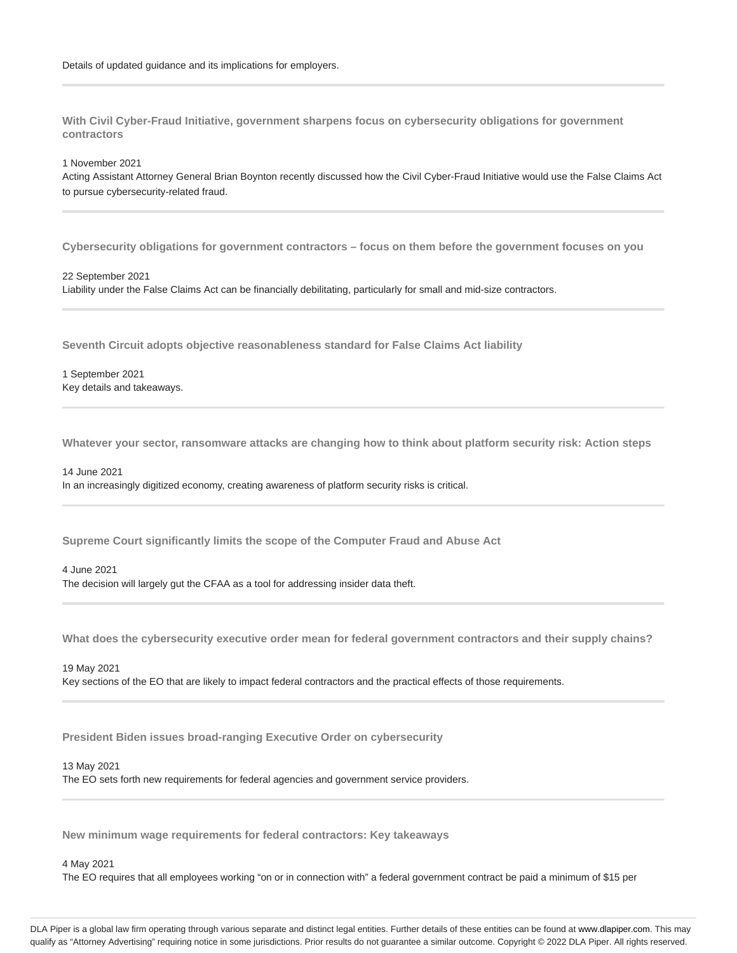**With Civil Cyber-Fraud Initiative, government sharpens focus on cybersecurity obligations for government contractors**

1 November 2021

Acting Assistant Attorney General Brian Boynton recently discussed how the Civil Cyber-Fraud Initiative would use the False Claims Act to pursue cybersecurity-related fraud.

**Cybersecurity obligations for government contractors – focus on them before the government focuses on you**

22 September 2021 Liability under the False Claims Act can be financially debilitating, particularly for small and mid-size contractors.

**Seventh Circuit adopts objective reasonableness standard for False Claims Act liability**

1 September 2021 Key details and takeaways.

**Whatever your sector, ransomware attacks are changing how to think about platform security risk: Action steps**

14 June 2021 In an increasingly digitized economy, creating awareness of platform security risks is critical.

**Supreme Court significantly limits the scope of the Computer Fraud and Abuse Act**

4 June 2021 The decision will largely gut the CFAA as a tool for addressing insider data theft.

**What does the cybersecurity executive order mean for federal government contractors and their supply chains?**

19 May 2021 Key sections of the EO that are likely to impact federal contractors and the practical effects of those requirements.

**President Biden issues broad-ranging Executive Order on cybersecurity**

13 May 2021

The EO sets forth new requirements for federal agencies and government service providers.

**New minimum wage requirements for federal contractors: Key takeaways**

4 May 2021

The EO requires that all employees working "on or in connection with" a federal government contract be paid a minimum of \$15 per

DLA Piper is a global law firm operating through various separate and distinct legal entities. Further details of these entities can be found at www.dlapiper.com. This may qualify as "Attorney Advertising" requiring notice in some jurisdictions. Prior results do not guarantee a similar outcome. Copyright @ 2022 DLA Piper. All rights reserved.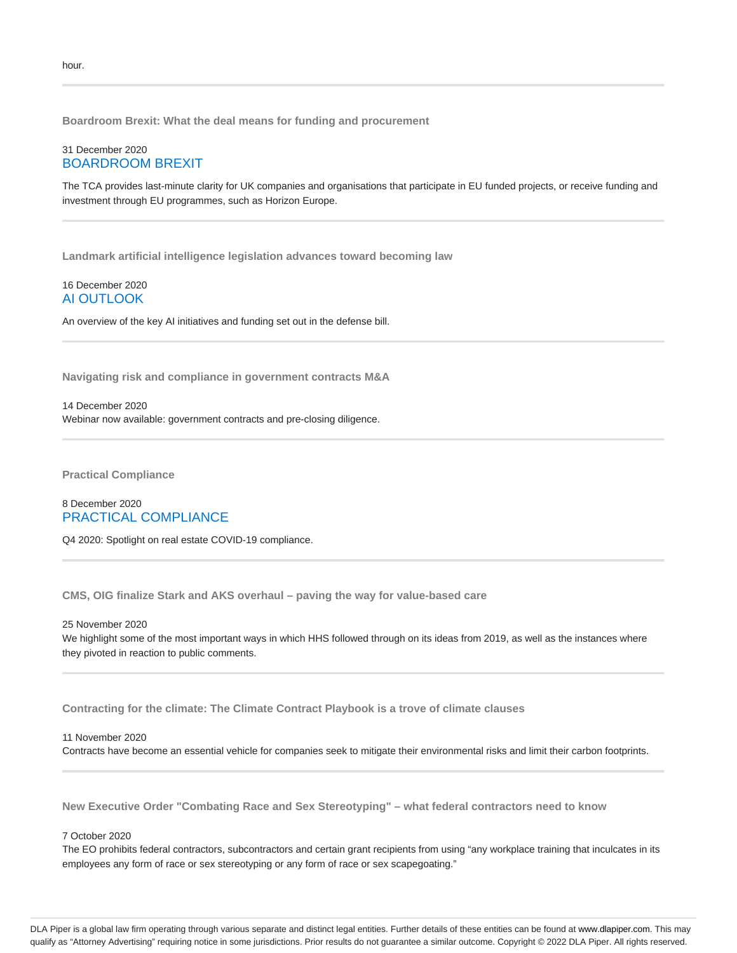**Boardroom Brexit: What the deal means for funding and procurement**

## 31 December 2020 BOARDROOM BREXIT

The TCA provides last-minute clarity for UK companies and organisations that participate in EU funded projects, or receive funding and investment through EU programmes, such as Horizon Europe.

**Landmark artificial intelligence legislation advances toward becoming law**

## 16 December 2020 AI OUTLOOK

An overview of the key AI initiatives and funding set out in the defense bill.

**Navigating risk and compliance in government contracts M&A**

14 December 2020 Webinar now available: government contracts and pre-closing diligence.

**Practical Compliance**

## 8 December 2020 PRACTICAL COMPLIANCE

Q4 2020: Spotlight on real estate COVID-19 compliance.

**CMS, OIG finalize Stark and AKS overhaul – paving the way for value-based care**

25 November 2020 We highlight some of the most important ways in which HHS followed through on its ideas from 2019, as well as the instances where they pivoted in reaction to public comments.

**Contracting for the climate: The Climate Contract Playbook is a trove of climate clauses**

11 November 2020

Contracts have become an essential vehicle for companies seek to mitigate their environmental risks and limit their carbon footprints.

**New Executive Order "Combating Race and Sex Stereotyping" – what federal contractors need to know**

#### 7 October 2020

The EO prohibits federal contractors, subcontractors and certain grant recipients from using "any workplace training that inculcates in its employees any form of race or sex stereotyping or any form of race or sex scapegoating."

DLA Piper is a global law firm operating through various separate and distinct legal entities. Further details of these entities can be found at www.dlapiper.com. This may qualify as "Attorney Advertising" requiring notice in some jurisdictions. Prior results do not guarantee a similar outcome. Copyright @ 2022 DLA Piper. All rights reserved.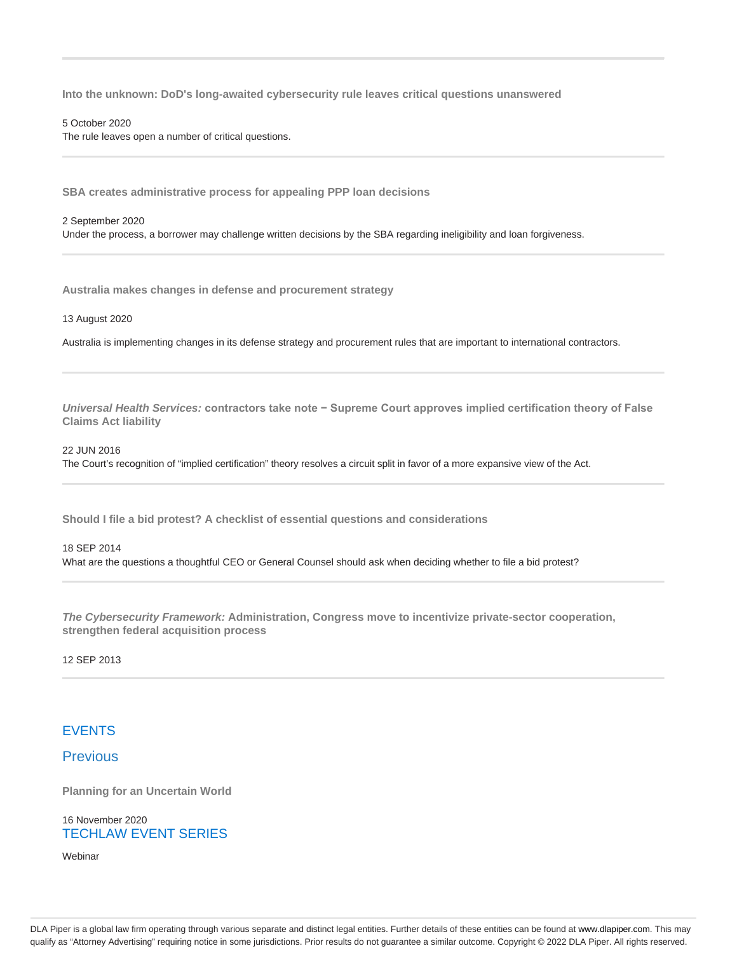**Into the unknown: DoD's long-awaited cybersecurity rule leaves critical questions unanswered**

#### 5 October 2020

The rule leaves open a number of critical questions.

**SBA creates administrative process for appealing PPP loan decisions**

#### 2 September 2020

Under the process, a borrower may challenge written decisions by the SBA regarding ineligibility and loan forgiveness.

**Australia makes changes in defense and procurement strategy**

13 August 2020

Australia is implementing changes in its defense strategy and procurement rules that are important to international contractors.

**Universal Health Services: contractors take note − Supreme Court approves implied certification theory of False Claims Act liability**

22 JUN 2016 The Court's recognition of "implied certification" theory resolves a circuit split in favor of a more expansive view of the Act.

**Should I file a bid protest? A checklist of essential questions and considerations**

## 18 SEP 2014 What are the questions a thoughtful CEO or General Counsel should ask when deciding whether to file a bid protest?

**The Cybersecurity Framework: Administration, Congress move to incentivize private-sector cooperation, strengthen federal acquisition process**

12 SEP 2013

# EVENTS

Previous

**Planning for an Uncertain World**

16 November 2020 TECHLAW EVENT SERIES

Webinar

DLA Piper is a global law firm operating through various separate and distinct legal entities. Further details of these entities can be found at www.dlapiper.com. This may qualify as "Attorney Advertising" requiring notice in some jurisdictions. Prior results do not guarantee a similar outcome. Copyright © 2022 DLA Piper. All rights reserved.